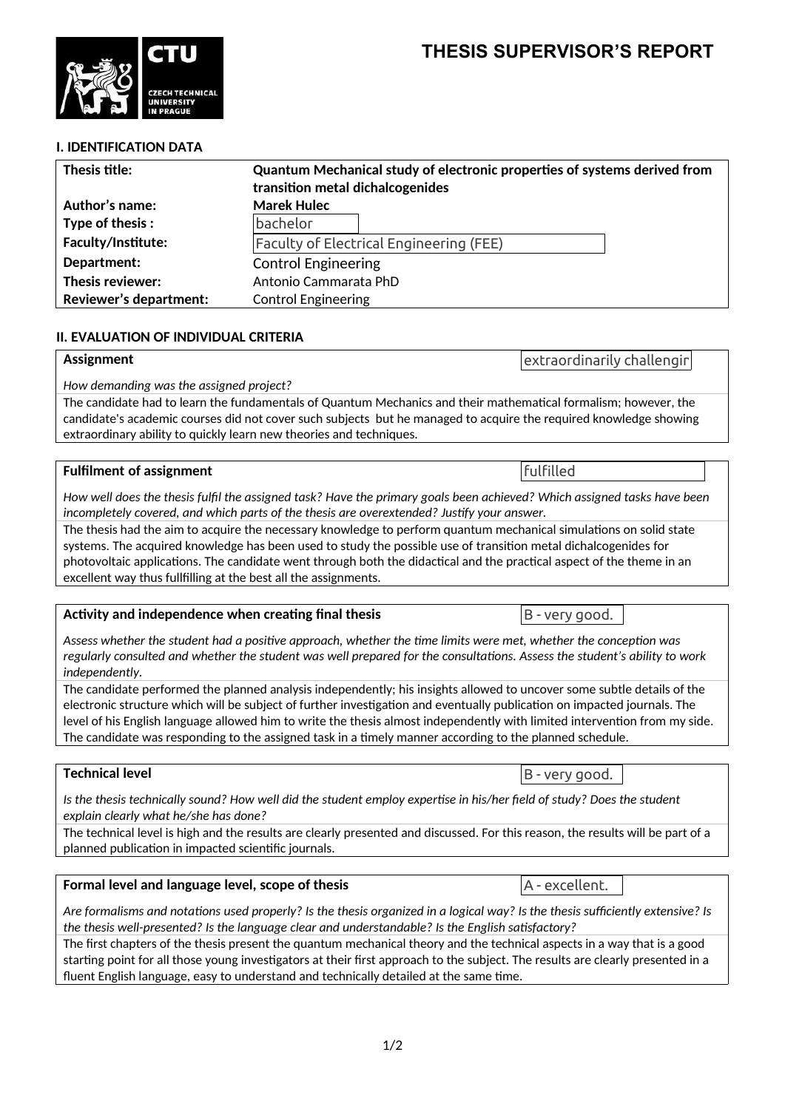## **THESIS SUPERVISOR'S REPORT**

**I. IDENTIFICATION DATA**

| Thesis title:                 | Quantum Mechanical study of electronic properties of systems derived from<br>transition metal dichalcogenides |
|-------------------------------|---------------------------------------------------------------------------------------------------------------|
| Author's name:                | <b>Marek Hulec</b>                                                                                            |
| Type of thesis:               | bachelor                                                                                                      |
| <b>Faculty/Institute:</b>     | <b>Faculty of Electrical Engineering (FEE)</b>                                                                |
| Department:                   | <b>Control Engineering</b>                                                                                    |
| Thesis reviewer:              | Antonio Cammarata PhD                                                                                         |
| <b>Reviewer's department:</b> | <b>Control Engineering</b>                                                                                    |

## **II. EVALUATION OF INDIVIDUAL CRITERIA**

#### **Assignment**

*How demanding was the assigned project?*

The candidate had to learn the fundamentals of Quantum Mechanics and their mathematical formalism; however, the candidate's academic courses did not cover such subjects but he managed to acquire the required knowledge showing extraordinary ability to quickly learn new theories and techniques.

#### **Fulfilment of assignment**

*How well does the thesis fulfil the assigned task? Have the primary goals been achieved? Which assigned tasks have been incompletely covered, and which parts of the thesis are overextended? Justify your answer.*

The thesis had the aim to acquire the necessary knowledge to perform quantum mechanical simulations on solid state systems. The acquired knowledge has been used to study the possible use of transition metal dichalcogenides for photovoltaic applications. The candidate went through both the didactical and the practical aspect of the theme in an excellent way thus fullfilling at the best all the assignments.

#### **Activity and independence when creating final thesis**

**Formal level and language level, scope of thesis**

*Assess whether the student had a positive approach, whether the time limits were met, whether the conception was regularly consulted and whether the student was well prepared for the consultations. Assess the student's ability to work independently.*

The candidate performed the planned analysis independently; his insights allowed to uncover some subtle details of the electronic structure which will be subject of further investigation and eventually publication on impacted journals. The level of his English language allowed him to write the thesis almost independently with limited intervention from my side. The candidate was responding to the assigned task in a timely manner according to the planned schedule.

### **Technical level**

*Is the thesis technically sound? How well did the student employ expertise in his/her field of study? Does the student explain clearly what he/she has done?*

The technical level is high and the results are clearly presented and discussed. For this reason, the results will be part of a planned publication in impacted scientific journals.

| $\mid$ Are formalisms and notations used properly? Is the thesis organized in a logical way? Is the thesis sufficiently extensive? Is |
|---------------------------------------------------------------------------------------------------------------------------------------|
| the thesis well-presented? Is the language clear and understandable? Is the English satisfactory?                                     |

The first chapters of the thesis present the quantum mechanical theory and the technical aspects in a way that is a good starting point for all those young investigators at their first approach to the subject. The results are clearly presented in a fluent English language, easy to understand and technically detailed at the same time.

extraordinarily challenging



fulfilled

B - very good.

A - excellent.

B - very good.